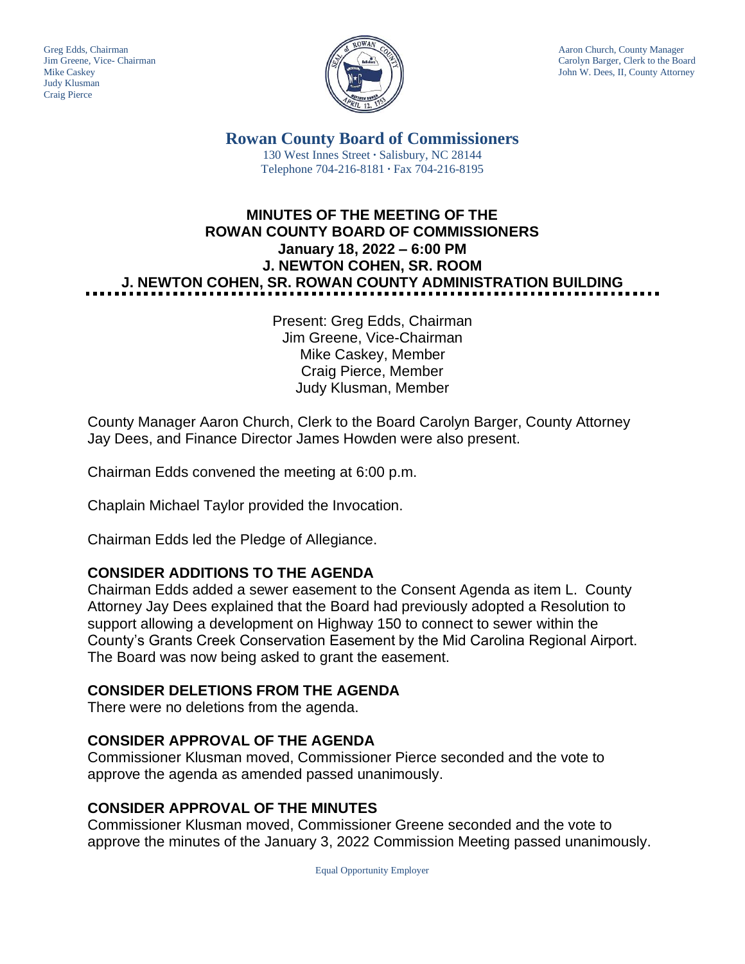Judy Klusman Craig Pierce



Greg Edds, Chairman Aaron Church, County Manager<br>Jim Greene, Vice- Chairman Aaron Church, County Manager and Aaron Church, County Manager and Aaron Church, County Manager Carolyn Barger, Clerk to the Board Mike Caskey John W. Dees, II, County Attorney

> **Rowan County Board of Commissioners** 130 West Innes Street **∙** Salisbury, NC 28144 Telephone 704-216-8181 **∙** Fax 704-216-8195

# **MINUTES OF THE MEETING OF THE ROWAN COUNTY BOARD OF COMMISSIONERS January 18, 2022 – 6:00 PM J. NEWTON COHEN, SR. ROOM J. NEWTON COHEN, SR. ROWAN COUNTY ADMINISTRATION BUILDING**

Present: Greg Edds, Chairman Jim Greene, Vice-Chairman Mike Caskey, Member Craig Pierce, Member Judy Klusman, Member

County Manager Aaron Church, Clerk to the Board Carolyn Barger, County Attorney Jay Dees, and Finance Director James Howden were also present.

Chairman Edds convened the meeting at 6:00 p.m.

Chaplain Michael Taylor provided the Invocation.

Chairman Edds led the Pledge of Allegiance.

# **CONSIDER ADDITIONS TO THE AGENDA**

Chairman Edds added a sewer easement to the Consent Agenda as item L. County Attorney Jay Dees explained that the Board had previously adopted a Resolution to support allowing a development on Highway 150 to connect to sewer within the County's Grants Creek Conservation Easement by the Mid Carolina Regional Airport. The Board was now being asked to grant the easement.

# **CONSIDER DELETIONS FROM THE AGENDA**

There were no deletions from the agenda.

# **CONSIDER APPROVAL OF THE AGENDA**

Commissioner Klusman moved, Commissioner Pierce seconded and the vote to approve the agenda as amended passed unanimously.

# **CONSIDER APPROVAL OF THE MINUTES**

Commissioner Klusman moved, Commissioner Greene seconded and the vote to approve the minutes of the January 3, 2022 Commission Meeting passed unanimously.

Equal Opportunity Employer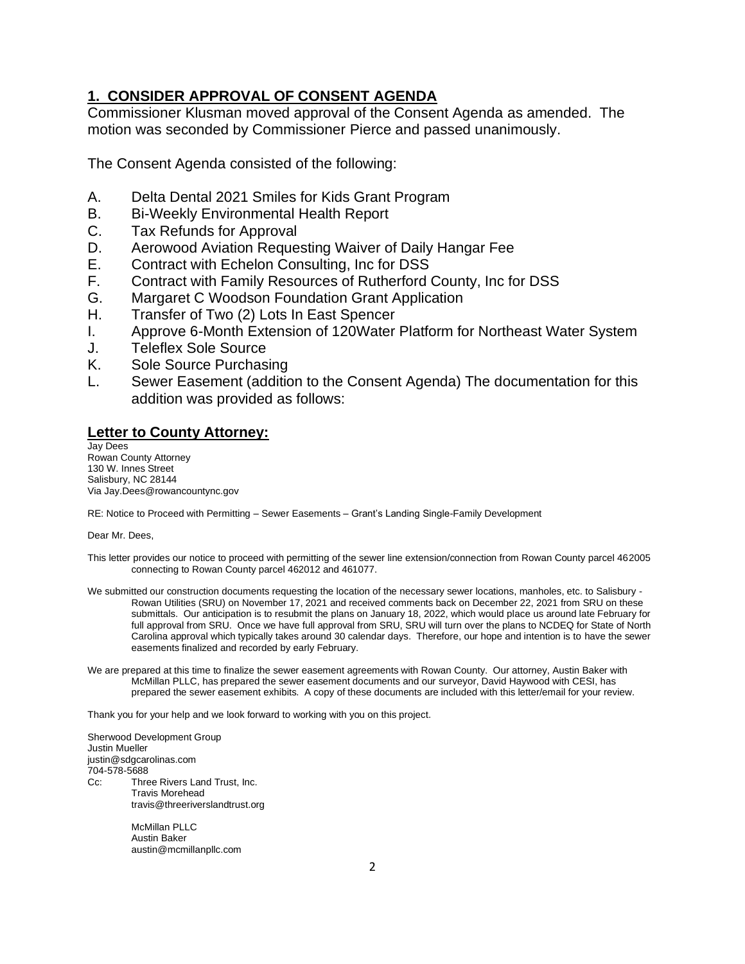## **1. CONSIDER APPROVAL OF CONSENT AGENDA**

Commissioner Klusman moved approval of the Consent Agenda as amended. The motion was seconded by Commissioner Pierce and passed unanimously.

The Consent Agenda consisted of the following:

- A. Delta Dental 2021 Smiles for Kids Grant Program
- B. Bi-Weekly Environmental Health Report
- C. Tax Refunds for Approval
- D. Aerowood Aviation Requesting Waiver of Daily Hangar Fee
- E. Contract with Echelon Consulting, Inc for DSS
- F. Contract with Family Resources of Rutherford County, Inc for DSS
- G. Margaret C Woodson Foundation Grant Application
- H. Transfer of Two (2) Lots In East Spencer
- I. Approve 6-Month Extension of 120Water Platform for Northeast Water System
- J. Teleflex Sole Source
- K. Sole Source Purchasing
- L. Sewer Easement (addition to the Consent Agenda) The documentation for this addition was provided as follows:

### **Letter to County Attorney:**

Jay Dees Rowan County Attorney 130 W. Innes Street Salisbury, NC 28144 Via Jay.Dees@rowancountync.gov

RE: Notice to Proceed with Permitting – Sewer Easements – Grant's Landing Single-Family Development

Dear Mr. Dees,

- This letter provides our notice to proceed with permitting of the sewer line extension/connection from Rowan County parcel 462005 connecting to Rowan County parcel 462012 and 461077.
- We submitted our construction documents requesting the location of the necessary sewer locations, manholes, etc. to Salisbury -Rowan Utilities (SRU) on November 17, 2021 and received comments back on December 22, 2021 from SRU on these submittals. Our anticipation is to resubmit the plans on January 18, 2022, which would place us around late February for full approval from SRU. Once we have full approval from SRU, SRU will turn over the plans to NCDEQ for State of North Carolina approval which typically takes around 30 calendar days. Therefore, our hope and intention is to have the sewer easements finalized and recorded by early February.
- We are prepared at this time to finalize the sewer easement agreements with Rowan County. Our attorney, Austin Baker with McMillan PLLC, has prepared the sewer easement documents and our surveyor, David Haywood with CESI, has prepared the sewer easement exhibits. A copy of these documents are included with this letter/email for your review.

Thank you for your help and we look forward to working with you on this project.

Sherwood Development Group Justin Mueller justin@sdgcarolinas.com 704-578-5688 Cc: Three Rivers Land Trust, Inc. Travis Morehead travis@threeriverslandtrust.org

> McMillan PLLC Austin Baker austin@mcmillanpllc.com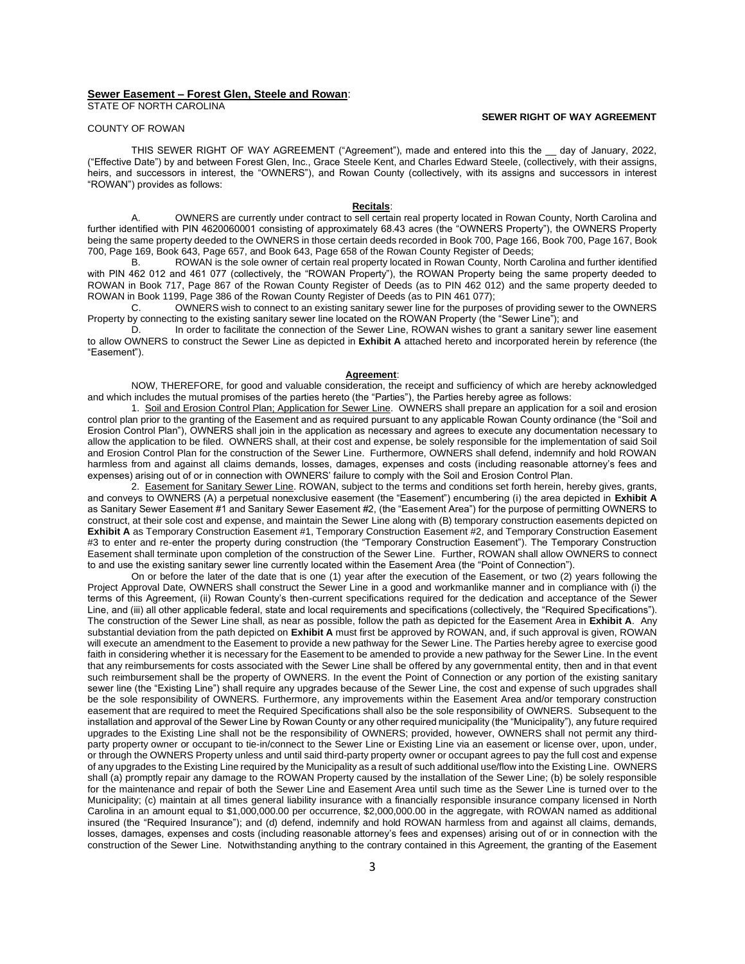### **Sewer Easement – Forest Glen, Steele and Rowan**:

STATE OF NORTH CAROLINA

#### **SEWER RIGHT OF WAY AGREEMENT**

### COUNTY OF ROWAN

THIS SEWER RIGHT OF WAY AGREEMENT ("Agreement"), made and entered into this the \_\_ day of January, 2022, ("Effective Date") by and between Forest Glen, Inc., Grace Steele Kent, and Charles Edward Steele, (collectively, with their assigns, heirs, and successors in interest, the "OWNERS"), and Rowan County (collectively, with its assigns and successors in interest "ROWAN") provides as follows:

#### **Recitals**:

A. OWNERS are currently under contract to sell certain real property located in Rowan County, North Carolina and further identified with PIN 4620060001 consisting of approximately 68.43 acres (the "OWNERS Property"), the OWNERS Property being the same property deeded to the OWNERS in those certain deeds recorded in Book 700, Page 166, Book 700, Page 167, Book 700, Page 169, Book 643, Page 657, and Book 643, Page 658 of the Rowan County Register of Deeds;

ROWAN is the sole owner of certain real property located in Rowan County, North Carolina and further identified with PIN 462 012 and 461 077 (collectively, the "ROWAN Property"), the ROWAN Property being the same property deeded to ROWAN in Book 717, Page 867 of the Rowan County Register of Deeds (as to PIN 462 012) and the same property deeded to ROWAN in Book 1199, Page 386 of the Rowan County Register of Deeds (as to PIN 461 077);

C. OWNERS wish to connect to an existing sanitary sewer line for the purposes of providing sewer to the OWNERS Property by connecting to the existing sanitary sewer line located on the ROWAN Property (the "Sewer Line"); and

D. In order to facilitate the connection of the Sewer Line, ROWAN wishes to grant a sanitary sewer line easement to allow OWNERS to construct the Sewer Line as depicted in **Exhibit A** attached hereto and incorporated herein by reference (the "Easement").

#### **Agreement**:

NOW, THEREFORE, for good and valuable consideration, the receipt and sufficiency of which are hereby acknowledged and which includes the mutual promises of the parties hereto (the "Parties"), the Parties hereby agree as follows:

1. Soil and Erosion Control Plan; Application for Sewer Line. OWNERS shall prepare an application for a soil and erosion control plan prior to the granting of the Easement and as required pursuant to any applicable Rowan County ordinance (the "Soil and Erosion Control Plan"), OWNERS shall join in the application as necessary and agrees to execute any documentation necessary to allow the application to be filed. OWNERS shall, at their cost and expense, be solely responsible for the implementation of said Soil and Erosion Control Plan for the construction of the Sewer Line. Furthermore, OWNERS shall defend, indemnify and hold ROWAN harmless from and against all claims demands, losses, damages, expenses and costs (including reasonable attorney's fees and expenses) arising out of or in connection with OWNERS' failure to comply with the Soil and Erosion Control Plan.

2. Easement for Sanitary Sewer Line. ROWAN, subject to the terms and conditions set forth herein, hereby gives, grants, and conveys to OWNERS (A) a perpetual nonexclusive easement (the "Easement") encumbering (i) the area depicted in **Exhibit A** as Sanitary Sewer Easement #1 and Sanitary Sewer Easement #2, (the "Easement Area") for the purpose of permitting OWNERS to construct, at their sole cost and expense, and maintain the Sewer Line along with (B) temporary construction easements depicted on **Exhibit A** as Temporary Construction Easement #1, Temporary Construction Easement #2, and Temporary Construction Easement #3 to enter and re-enter the property during construction (the "Temporary Construction Easement"). The Temporary Construction Easement shall terminate upon completion of the construction of the Sewer Line. Further, ROWAN shall allow OWNERS to connect to and use the existing sanitary sewer line currently located within the Easement Area (the "Point of Connection").

On or before the later of the date that is one (1) year after the execution of the Easement, or two (2) years following the Project Approval Date, OWNERS shall construct the Sewer Line in a good and workmanlike manner and in compliance with (i) the terms of this Agreement, (ii) Rowan County's then-current specifications required for the dedication and acceptance of the Sewer Line, and (iii) all other applicable federal, state and local requirements and specifications (collectively, the "Required Specifications"). The construction of the Sewer Line shall, as near as possible, follow the path as depicted for the Easement Area in **Exhibit A**. Any substantial deviation from the path depicted on **Exhibit A** must first be approved by ROWAN, and, if such approval is given, ROWAN will execute an amendment to the Easement to provide a new pathway for the Sewer Line. The Parties hereby agree to exercise good faith in considering whether it is necessary for the Easement to be amended to provide a new pathway for the Sewer Line. In the event that any reimbursements for costs associated with the Sewer Line shall be offered by any governmental entity, then and in that event such reimbursement shall be the property of OWNERS. In the event the Point of Connection or any portion of the existing sanitary sewer line (the "Existing Line") shall require any upgrades because of the Sewer Line, the cost and expense of such upgrades shall be the sole responsibility of OWNERS. Furthermore, any improvements within the Easement Area and/or temporary construction easement that are required to meet the Required Specifications shall also be the sole responsibility of OWNERS. Subsequent to the installation and approval of the Sewer Line by Rowan County or any other required municipality (the "Municipality"), any future required upgrades to the Existing Line shall not be the responsibility of OWNERS; provided, however, OWNERS shall not permit any thirdparty property owner or occupant to tie-in/connect to the Sewer Line or Existing Line via an easement or license over, upon, under, or through the OWNERS Property unless and until said third-party property owner or occupant agrees to pay the full cost and expense of any upgrades to the Existing Line required by the Municipality as a result of such additional use/flow into the Existing Line. OWNERS shall (a) promptly repair any damage to the ROWAN Property caused by the installation of the Sewer Line; (b) be solely responsible for the maintenance and repair of both the Sewer Line and Easement Area until such time as the Sewer Line is turned over to the Municipality; (c) maintain at all times general liability insurance with a financially responsible insurance company licensed in North Carolina in an amount equal to \$1,000,000.00 per occurrence, \$2,000,000.00 in the aggregate, with ROWAN named as additional insured (the "Required Insurance"); and (d) defend, indemnify and hold ROWAN harmless from and against all claims, demands, losses, damages, expenses and costs (including reasonable attorney's fees and expenses) arising out of or in connection with the construction of the Sewer Line. Notwithstanding anything to the contrary contained in this Agreement, the granting of the Easement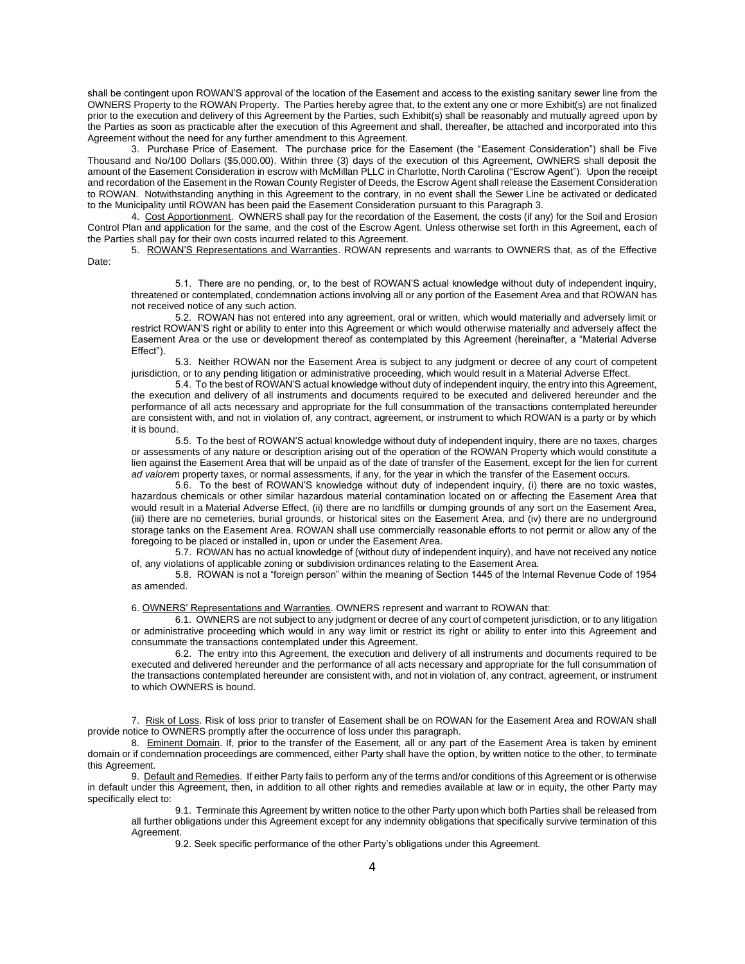shall be contingent upon ROWAN'S approval of the location of the Easement and access to the existing sanitary sewer line from the OWNERS Property to the ROWAN Property. The Parties hereby agree that, to the extent any one or more Exhibit(s) are not finalized prior to the execution and delivery of this Agreement by the Parties, such Exhibit(s) shall be reasonably and mutually agreed upon by the Parties as soon as practicable after the execution of this Agreement and shall, thereafter, be attached and incorporated into this Agreement without the need for any further amendment to this Agreement.

3. Purchase Price of Easement. The purchase price for the Easement (the "Easement Consideration") shall be Five Thousand and No/100 Dollars (\$5,000.00). Within three (3) days of the execution of this Agreement, OWNERS shall deposit the amount of the Easement Consideration in escrow with McMillan PLLC in Charlotte, North Carolina ("Escrow Agent"). Upon the receipt and recordation of the Easement in the Rowan County Register of Deeds, the Escrow Agent shall release the Easement Consideration to ROWAN. Notwithstanding anything in this Agreement to the contrary, in no event shall the Sewer Line be activated or dedicated to the Municipality until ROWAN has been paid the Easement Consideration pursuant to this Paragraph 3.

4. Cost Apportionment. OWNERS shall pay for the recordation of the Easement, the costs (if any) for the Soil and Erosion Control Plan and application for the same, and the cost of the Escrow Agent. Unless otherwise set forth in this Agreement, each of the Parties shall pay for their own costs incurred related to this Agreement.

5. ROWAN'S Representations and Warranties. ROWAN represents and warrants to OWNERS that, as of the Effective Date:

5.1. There are no pending, or, to the best of ROWAN'S actual knowledge without duty of independent inquiry, threatened or contemplated, condemnation actions involving all or any portion of the Easement Area and that ROWAN has not received notice of any such action.

5.2. ROWAN has not entered into any agreement, oral or written, which would materially and adversely limit or restrict ROWAN'S right or ability to enter into this Agreement or which would otherwise materially and adversely affect the Easement Area or the use or development thereof as contemplated by this Agreement (hereinafter, a "Material Adverse Effect").

5.3. Neither ROWAN nor the Easement Area is subject to any judgment or decree of any court of competent jurisdiction, or to any pending litigation or administrative proceeding, which would result in a Material Adverse Effect.

5.4. To the best of ROWAN'S actual knowledge without duty of independent inquiry, the entry into this Agreement, the execution and delivery of all instruments and documents required to be executed and delivered hereunder and the performance of all acts necessary and appropriate for the full consummation of the transactions contemplated hereunder are consistent with, and not in violation of, any contract, agreement, or instrument to which ROWAN is a party or by which it is bound.

5.5. To the best of ROWAN'S actual knowledge without duty of independent inquiry, there are no taxes, charges or assessments of any nature or description arising out of the operation of the ROWAN Property which would constitute a lien against the Easement Area that will be unpaid as of the date of transfer of the Easement, except for the lien for current *ad valorem* property taxes, or normal assessments, if any, for the year in which the transfer of the Easement occurs.

5.6. To the best of ROWAN'S knowledge without duty of independent inquiry, (i) there are no toxic wastes, hazardous chemicals or other similar hazardous material contamination located on or affecting the Easement Area that would result in a Material Adverse Effect, (ii) there are no landfills or dumping grounds of any sort on the Easement Area, (iii) there are no cemeteries, burial grounds, or historical sites on the Easement Area, and (iv) there are no underground storage tanks on the Easement Area. ROWAN shall use commercially reasonable efforts to not permit or allow any of the foregoing to be placed or installed in, upon or under the Easement Area.

5.7. ROWAN has no actual knowledge of (without duty of independent inquiry), and have not received any notice of, any violations of applicable zoning or subdivision ordinances relating to the Easement Area.

5.8. ROWAN is not a "foreign person" within the meaning of Section 1445 of the Internal Revenue Code of 1954 as amended.

6. OWNERS' Representations and Warranties. OWNERS represent and warrant to ROWAN that:

6.1. OWNERS are not subject to any judgment or decree of any court of competent jurisdiction, or to any litigation or administrative proceeding which would in any way limit or restrict its right or ability to enter into this Agreement and consummate the transactions contemplated under this Agreement.

6.2. The entry into this Agreement, the execution and delivery of all instruments and documents required to be executed and delivered hereunder and the performance of all acts necessary and appropriate for the full consummation of the transactions contemplated hereunder are consistent with, and not in violation of, any contract, agreement, or instrument to which OWNERS is bound.

7. Risk of Loss. Risk of loss prior to transfer of Easement shall be on ROWAN for the Easement Area and ROWAN shall provide notice to OWNERS promptly after the occurrence of loss under this paragraph.

8. Eminent Domain. If, prior to the transfer of the Easement, all or any part of the Easement Area is taken by eminent domain or if condemnation proceedings are commenced, either Party shall have the option, by written notice to the other, to terminate this Agreement.

9. Default and Remedies. If either Party fails to perform any of the terms and/or conditions of this Agreement or is otherwise in default under this Agreement, then, in addition to all other rights and remedies available at law or in equity, the other Party may specifically elect to:

9.1. Terminate this Agreement by written notice to the other Party upon which both Parties shall be released from all further obligations under this Agreement except for any indemnity obligations that specifically survive termination of this Agreement.

9.2. Seek specific performance of the other Party's obligations under this Agreement.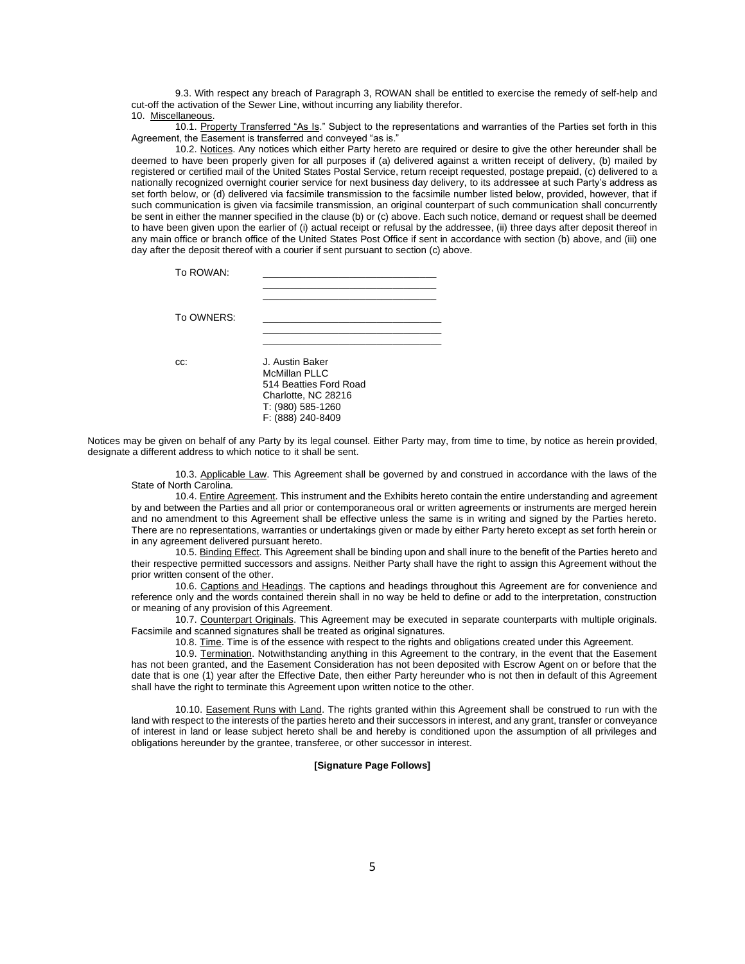9.3. With respect any breach of Paragraph 3, ROWAN shall be entitled to exercise the remedy of self-help and cut-off the activation of the Sewer Line, without incurring any liability therefor. 10. Miscellaneous.

10.1. Property Transferred "As Is." Subject to the representations and warranties of the Parties set forth in this Agreement, the Easement is transferred and conveyed "as is."

10.2. Notices. Any notices which either Party hereto are required or desire to give the other hereunder shall be deemed to have been properly given for all purposes if (a) delivered against a written receipt of delivery, (b) mailed by registered or certified mail of the United States Postal Service, return receipt requested, postage prepaid, (c) delivered to a nationally recognized overnight courier service for next business day delivery, to its addressee at such Party's address as set forth below, or (d) delivered via facsimile transmission to the facsimile number listed below, provided, however, that if such communication is given via facsimile transmission, an original counterpart of such communication shall concurrently be sent in either the manner specified in the clause (b) or (c) above. Each such notice, demand or request shall be deemed to have been given upon the earlier of (i) actual receipt or refusal by the addressee, (ii) three days after deposit thereof in any main office or branch office of the United States Post Office if sent in accordance with section (b) above, and (iii) one day after the deposit thereof with a courier if sent pursuant to section (c) above.

| To ROWAN:  |                                                                                                                             |
|------------|-----------------------------------------------------------------------------------------------------------------------------|
| To OWNERS: |                                                                                                                             |
| CC.        | J. Austin Baker<br>McMillan PLLC<br>514 Beatties Ford Road<br>Charlotte, NC 28216<br>T: (980) 585-1260<br>F: (888) 240-8409 |

Notices may be given on behalf of any Party by its legal counsel. Either Party may, from time to time, by notice as herein provided, designate a different address to which notice to it shall be sent.

10.3. Applicable Law. This Agreement shall be governed by and construed in accordance with the laws of the State of North Carolina.

10.4. Entire Agreement. This instrument and the Exhibits hereto contain the entire understanding and agreement by and between the Parties and all prior or contemporaneous oral or written agreements or instruments are merged herein and no amendment to this Agreement shall be effective unless the same is in writing and signed by the Parties hereto. There are no representations, warranties or undertakings given or made by either Party hereto except as set forth herein or in any agreement delivered pursuant hereto.

10.5. Binding Effect. This Agreement shall be binding upon and shall inure to the benefit of the Parties hereto and their respective permitted successors and assigns. Neither Party shall have the right to assign this Agreement without the prior written consent of the other.

10.6. Captions and Headings. The captions and headings throughout this Agreement are for convenience and reference only and the words contained therein shall in no way be held to define or add to the interpretation, construction or meaning of any provision of this Agreement.

10.7. Counterpart Originals. This Agreement may be executed in separate counterparts with multiple originals. Facsimile and scanned signatures shall be treated as original signatures.

10.8. Time. Time is of the essence with respect to the rights and obligations created under this Agreement.

10.9. Termination. Notwithstanding anything in this Agreement to the contrary, in the event that the Easement has not been granted, and the Easement Consideration has not been deposited with Escrow Agent on or before that the date that is one (1) year after the Effective Date, then either Party hereunder who is not then in default of this Agreement shall have the right to terminate this Agreement upon written notice to the other.

10.10. Easement Runs with Land. The rights granted within this Agreement shall be construed to run with the land with respect to the interests of the parties hereto and their successors in interest, and any grant, transfer or conveyance of interest in land or lease subject hereto shall be and hereby is conditioned upon the assumption of all privileges and obligations hereunder by the grantee, transferee, or other successor in interest.

#### **[Signature Page Follows]**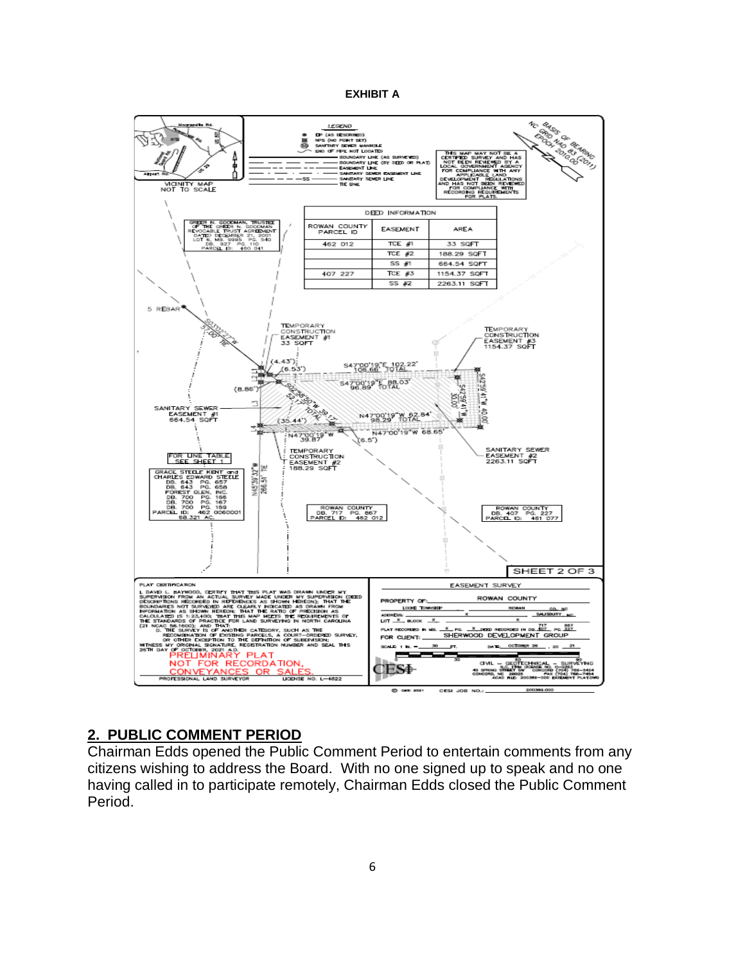### **EXHIBIT A**



## **2. PUBLIC COMMENT PERIOD**

Chairman Edds opened the Public Comment Period to entertain comments from any citizens wishing to address the Board. With no one signed up to speak and no one having called in to participate remotely, Chairman Edds closed the Public Comment Period.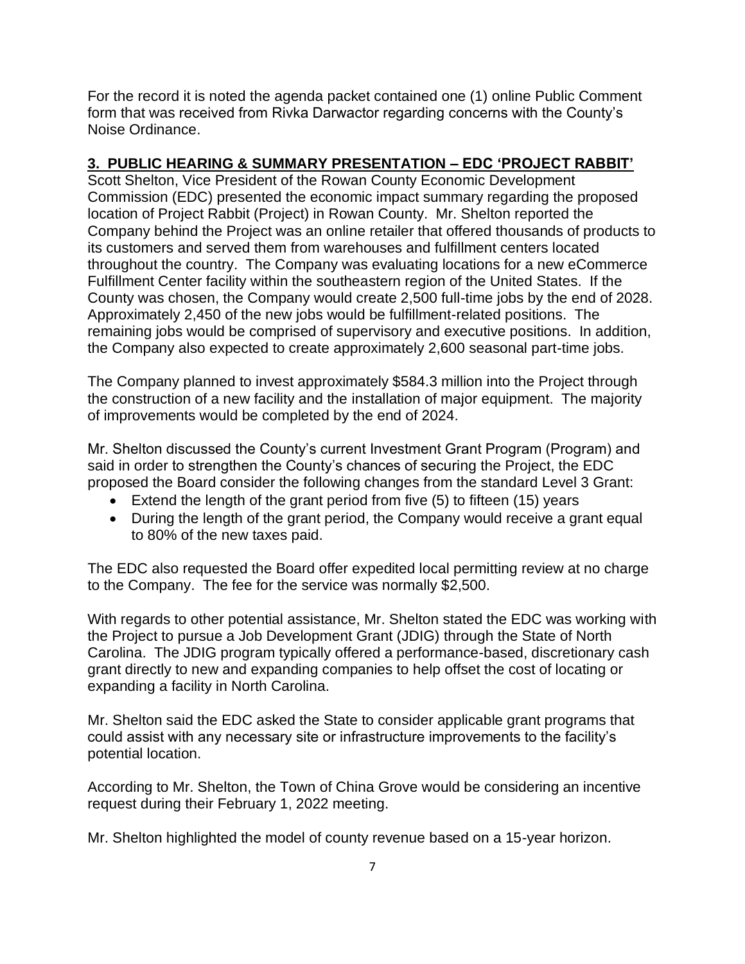For the record it is noted the agenda packet contained one (1) online Public Comment form that was received from Rivka Darwactor regarding concerns with the County's Noise Ordinance.

# **3. PUBLIC HEARING & SUMMARY PRESENTATION – EDC 'PROJECT RABBIT'**

Scott Shelton, Vice President of the Rowan County Economic Development Commission (EDC) presented the economic impact summary regarding the proposed location of Project Rabbit (Project) in Rowan County. Mr. Shelton reported the Company behind the Project was an online retailer that offered thousands of products to its customers and served them from warehouses and fulfillment centers located throughout the country. The Company was evaluating locations for a new eCommerce Fulfillment Center facility within the southeastern region of the United States. If the County was chosen, the Company would create 2,500 full-time jobs by the end of 2028. Approximately 2,450 of the new jobs would be fulfillment-related positions. The remaining jobs would be comprised of supervisory and executive positions. In addition, the Company also expected to create approximately 2,600 seasonal part-time jobs.

The Company planned to invest approximately \$584.3 million into the Project through the construction of a new facility and the installation of major equipment. The majority of improvements would be completed by the end of 2024.

Mr. Shelton discussed the County's current Investment Grant Program (Program) and said in order to strengthen the County's chances of securing the Project, the EDC proposed the Board consider the following changes from the standard Level 3 Grant:

- Extend the length of the grant period from five (5) to fifteen (15) years
- During the length of the grant period, the Company would receive a grant equal to 80% of the new taxes paid.

The EDC also requested the Board offer expedited local permitting review at no charge to the Company. The fee for the service was normally \$2,500.

With regards to other potential assistance, Mr. Shelton stated the EDC was working with the Project to pursue a Job Development Grant (JDIG) through the State of North Carolina. The JDIG program typically offered a performance-based, discretionary cash grant directly to new and expanding companies to help offset the cost of locating or expanding a facility in North Carolina.

Mr. Shelton said the EDC asked the State to consider applicable grant programs that could assist with any necessary site or infrastructure improvements to the facility's potential location.

According to Mr. Shelton, the Town of China Grove would be considering an incentive request during their February 1, 2022 meeting.

Mr. Shelton highlighted the model of county revenue based on a 15-year horizon.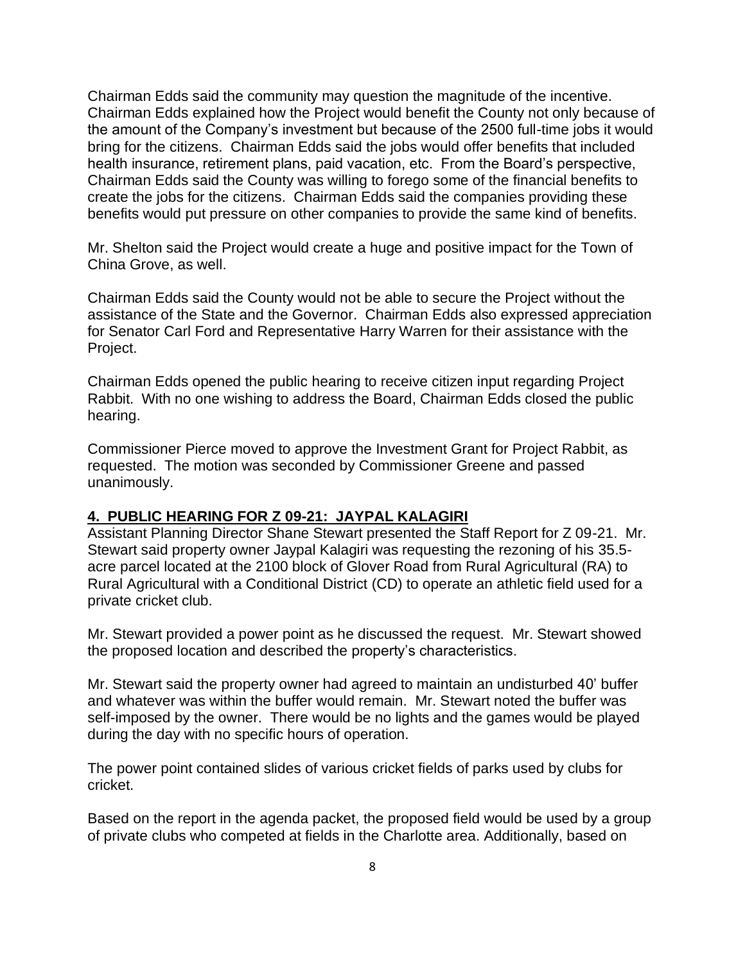Chairman Edds said the community may question the magnitude of the incentive. Chairman Edds explained how the Project would benefit the County not only because of the amount of the Company's investment but because of the 2500 full-time jobs it would bring for the citizens. Chairman Edds said the jobs would offer benefits that included health insurance, retirement plans, paid vacation, etc. From the Board's perspective, Chairman Edds said the County was willing to forego some of the financial benefits to create the jobs for the citizens. Chairman Edds said the companies providing these benefits would put pressure on other companies to provide the same kind of benefits.

Mr. Shelton said the Project would create a huge and positive impact for the Town of China Grove, as well.

Chairman Edds said the County would not be able to secure the Project without the assistance of the State and the Governor. Chairman Edds also expressed appreciation for Senator Carl Ford and Representative Harry Warren for their assistance with the Project.

Chairman Edds opened the public hearing to receive citizen input regarding Project Rabbit. With no one wishing to address the Board, Chairman Edds closed the public hearing.

Commissioner Pierce moved to approve the Investment Grant for Project Rabbit, as requested. The motion was seconded by Commissioner Greene and passed unanimously.

## **4. PUBLIC HEARING FOR Z 09-21: JAYPAL KALAGIRI**

Assistant Planning Director Shane Stewart presented the Staff Report for Z 09-21. Mr. Stewart said property owner Jaypal Kalagiri was requesting the rezoning of his 35.5 acre parcel located at the 2100 block of Glover Road from Rural Agricultural (RA) to Rural Agricultural with a Conditional District (CD) to operate an athletic field used for a private cricket club.

Mr. Stewart provided a power point as he discussed the request. Mr. Stewart showed the proposed location and described the property's characteristics.

Mr. Stewart said the property owner had agreed to maintain an undisturbed 40' buffer and whatever was within the buffer would remain. Mr. Stewart noted the buffer was self-imposed by the owner. There would be no lights and the games would be played during the day with no specific hours of operation.

The power point contained slides of various cricket fields of parks used by clubs for cricket.

Based on the report in the agenda packet, the proposed field would be used by a group of private clubs who competed at fields in the Charlotte area. Additionally, based on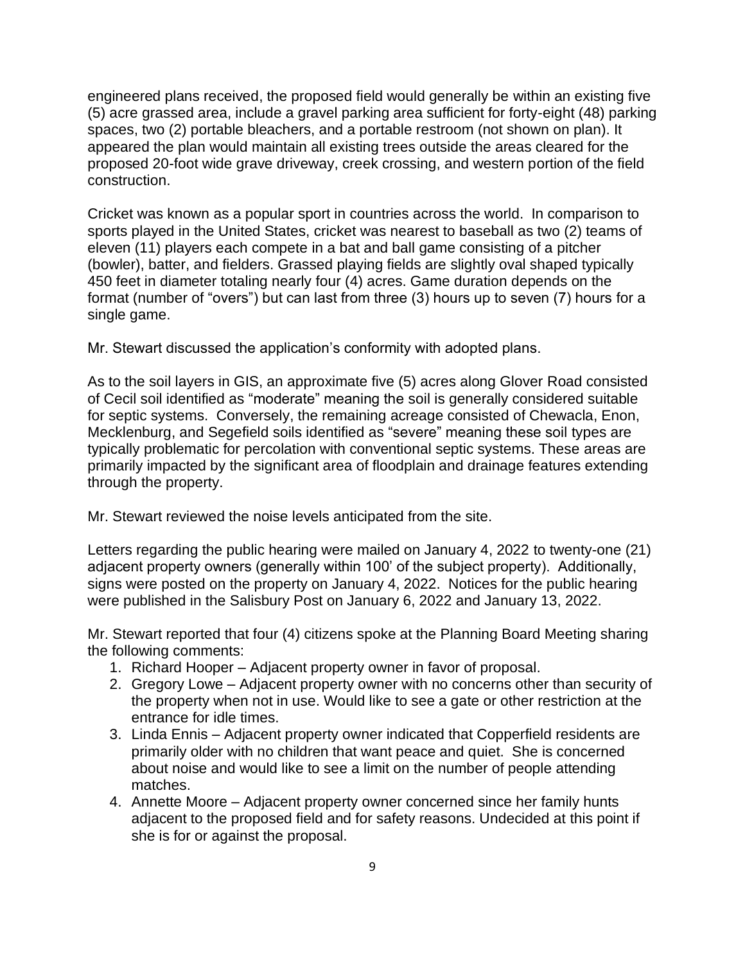engineered plans received, the proposed field would generally be within an existing five (5) acre grassed area, include a gravel parking area sufficient for forty-eight (48) parking spaces, two (2) portable bleachers, and a portable restroom (not shown on plan). It appeared the plan would maintain all existing trees outside the areas cleared for the proposed 20-foot wide grave driveway, creek crossing, and western portion of the field construction.

Cricket was known as a popular sport in countries across the world. In comparison to sports played in the United States, cricket was nearest to baseball as two (2) teams of eleven (11) players each compete in a bat and ball game consisting of a pitcher (bowler), batter, and fielders. Grassed playing fields are slightly oval shaped typically 450 feet in diameter totaling nearly four (4) acres. Game duration depends on the format (number of "overs") but can last from three (3) hours up to seven (7) hours for a single game.

Mr. Stewart discussed the application's conformity with adopted plans.

As to the soil layers in GIS, an approximate five (5) acres along Glover Road consisted of Cecil soil identified as "moderate" meaning the soil is generally considered suitable for septic systems. Conversely, the remaining acreage consisted of Chewacla, Enon, Mecklenburg, and Segefield soils identified as "severe" meaning these soil types are typically problematic for percolation with conventional septic systems. These areas are primarily impacted by the significant area of floodplain and drainage features extending through the property.

Mr. Stewart reviewed the noise levels anticipated from the site.

Letters regarding the public hearing were mailed on January 4, 2022 to twenty-one (21) adjacent property owners (generally within 100' of the subject property). Additionally, signs were posted on the property on January 4, 2022. Notices for the public hearing were published in the Salisbury Post on January 6, 2022 and January 13, 2022.

Mr. Stewart reported that four (4) citizens spoke at the Planning Board Meeting sharing the following comments:

- 1. Richard Hooper Adjacent property owner in favor of proposal.
- 2. Gregory Lowe Adjacent property owner with no concerns other than security of the property when not in use. Would like to see a gate or other restriction at the entrance for idle times.
- 3. Linda Ennis Adjacent property owner indicated that Copperfield residents are primarily older with no children that want peace and quiet. She is concerned about noise and would like to see a limit on the number of people attending matches.
- 4. Annette Moore Adjacent property owner concerned since her family hunts adjacent to the proposed field and for safety reasons. Undecided at this point if she is for or against the proposal.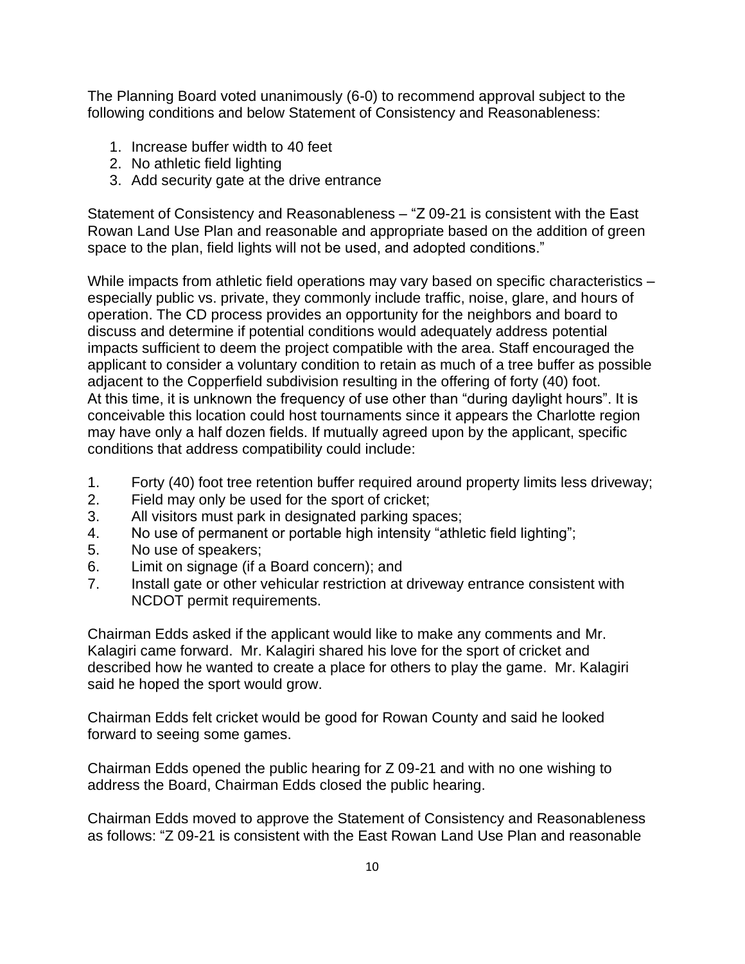The Planning Board voted unanimously (6-0) to recommend approval subject to the following conditions and below Statement of Consistency and Reasonableness:

- 1. Increase buffer width to 40 feet
- 2. No athletic field lighting
- 3. Add security gate at the drive entrance

Statement of Consistency and Reasonableness – "Z 09-21 is consistent with the East Rowan Land Use Plan and reasonable and appropriate based on the addition of green space to the plan, field lights will not be used, and adopted conditions."

While impacts from athletic field operations may vary based on specific characteristics especially public vs. private, they commonly include traffic, noise, glare, and hours of operation. The CD process provides an opportunity for the neighbors and board to discuss and determine if potential conditions would adequately address potential impacts sufficient to deem the project compatible with the area. Staff encouraged the applicant to consider a voluntary condition to retain as much of a tree buffer as possible adjacent to the Copperfield subdivision resulting in the offering of forty (40) foot. At this time, it is unknown the frequency of use other than "during daylight hours". It is conceivable this location could host tournaments since it appears the Charlotte region may have only a half dozen fields. If mutually agreed upon by the applicant, specific conditions that address compatibility could include:

- 1. Forty (40) foot tree retention buffer required around property limits less driveway;
- 2. Field may only be used for the sport of cricket;
- 3. All visitors must park in designated parking spaces;
- 4. No use of permanent or portable high intensity "athletic field lighting";
- 5. No use of speakers;
- 6. Limit on signage (if a Board concern); and
- 7. Install gate or other vehicular restriction at driveway entrance consistent with NCDOT permit requirements.

Chairman Edds asked if the applicant would like to make any comments and Mr. Kalagiri came forward. Mr. Kalagiri shared his love for the sport of cricket and described how he wanted to create a place for others to play the game. Mr. Kalagiri said he hoped the sport would grow.

Chairman Edds felt cricket would be good for Rowan County and said he looked forward to seeing some games.

Chairman Edds opened the public hearing for Z 09-21 and with no one wishing to address the Board, Chairman Edds closed the public hearing.

Chairman Edds moved to approve the Statement of Consistency and Reasonableness as follows: "Z 09-21 is consistent with the East Rowan Land Use Plan and reasonable